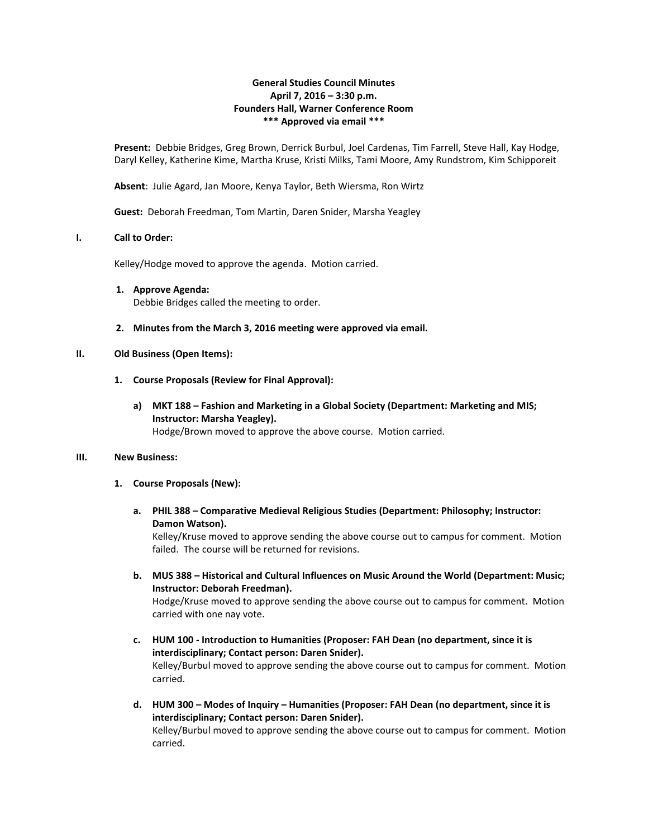## **General Studies Council Minutes April 7, 2016 – 3:30 p.m. Founders Hall, Warner Conference Room \*\*\* Approved via email \*\*\***

**Present:** Debbie Bridges, Greg Brown, Derrick Burbul, Joel Cardenas, Tim Farrell, Steve Hall, Kay Hodge, Daryl Kelley, Katherine Kime, Martha Kruse, Kristi Milks, Tami Moore, Amy Rundstrom, Kim Schipporeit

**Absent**: Julie Agard, Jan Moore, Kenya Taylor, Beth Wiersma, Ron Wirtz

**Guest:** Deborah Freedman, Tom Martin, Daren Snider, Marsha Yeagley

#### **I. Call to Order:**

Kelley/Hodge moved to approve the agenda. Motion carried.

- **1. Approve Agenda:** Debbie Bridges called the meeting to order.
- **2. Minutes from the March 3, 2016 meeting were approved via email.**

#### **II. Old Business (Open Items):**

- **1. Course Proposals (Review for Final Approval):**
	- **a) MKT 188 – Fashion and Marketing in a Global Society (Department: Marketing and MIS; Instructor: Marsha Yeagley).** Hodge/Brown moved to approve the above course. Motion carried.

#### **III. New Business:**

- **1. Course Proposals (New):**
	- **a. PHIL 388 – Comparative Medieval Religious Studies (Department: Philosophy; Instructor: Damon Watson).**

Kelley/Kruse moved to approve sending the above course out to campus for comment. Motion failed. The course will be returned for revisions.

**b. MUS 388 – Historical and Cultural Influences on Music Around the World (Department: Music; Instructor: Deborah Freedman).**

Hodge/Kruse moved to approve sending the above course out to campus for comment. Motion carried with one nay vote.

- **c. HUM 100 - Introduction to Humanities (Proposer: FAH Dean (no department, since it is interdisciplinary; Contact person: Daren Snider).** Kelley/Burbul moved to approve sending the above course out to campus for comment. Motion carried.
- **d. HUM 300 – Modes of Inquiry – Humanities (Proposer: FAH Dean (no department, since it is interdisciplinary; Contact person: Daren Snider).** Kelley/Burbul moved to approve sending the above course out to campus for comment. Motion carried.